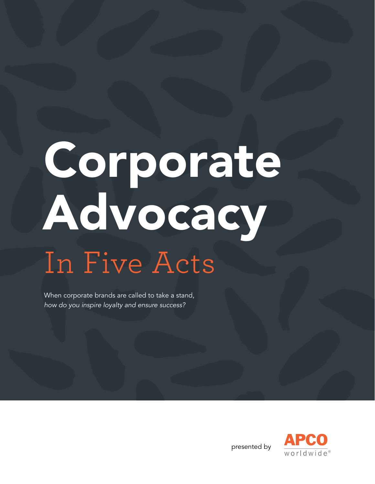# Corporate Advocacy In Five Acts

When corporate brands are called to take a stand, *how do you inspire loyalty and ensure success?* 



presented by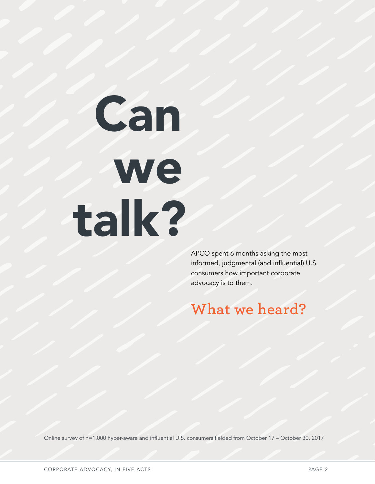# Can **we** talk?

APCO spent 6 months asking the most informed, judgmental (and influential) U.S. consumers how important corporate advocacy is to them.

#### **What we heard?**

Online survey of n=1,000 hyper-aware and influential U.S. consumers fielded from October 17 – October 30, 2017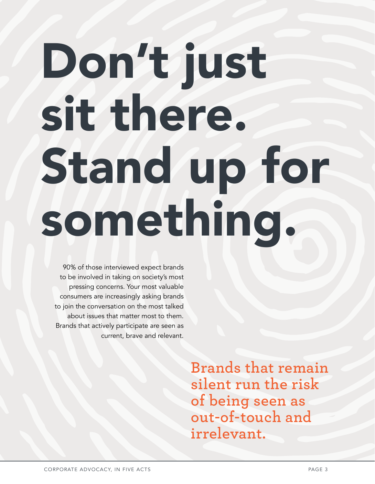# Don't just sit there. Stand up for something.

90% of those interviewed expect brands to be involved in taking on society's most pressing concerns. Your most valuable consumers are increasingly asking brands to join the conversation on the most talked about issues that matter most to them. Brands that actively participate are seen as current, brave and relevant.

> **Brands that remain silent run the risk of being seen as out-of-touch and irrelevant.**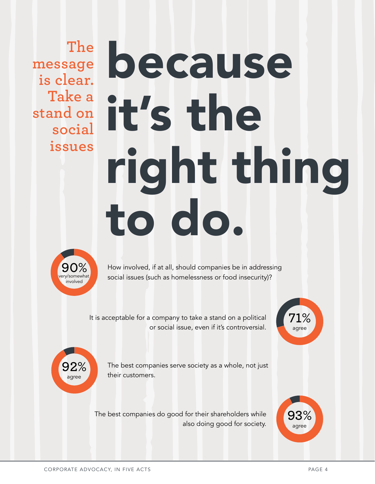**The message is clear. Take a stand on social issues**

# because it's the right thing to do.



How involved, if at all, should companies be in addressing social issues (such as homelessness or food insecurity)?

It is acceptable for a company to take a stand on a political or social issue, even if it's controversial.



**93%** agree



The best companies serve society as a whole, not just their customers.

The best companies do good for their shareholders while also doing good for society.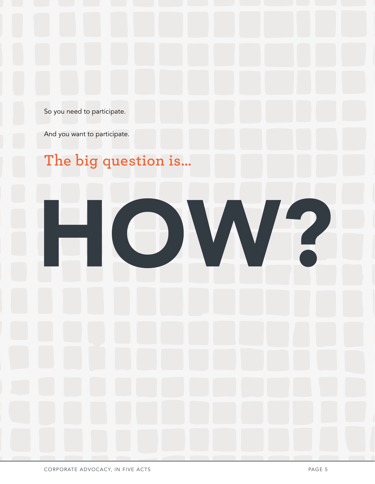So you need to participate.

And you want to participate.

## **The big question is…**

 $\begin{pmatrix} 1 \\ 1 \end{pmatrix}$ 

V

 $\overline{\mathsf{V}}$ 

/2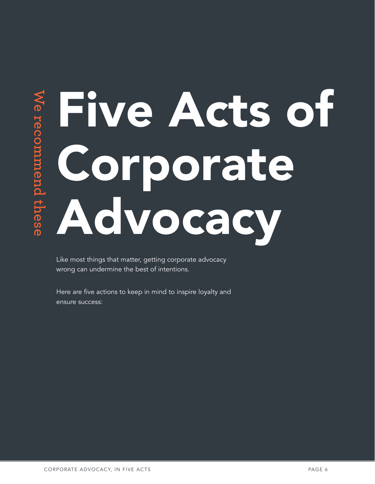# **Exporate Corporate<br>
Advocacy<br>
Advocacy** Five Acts of Corporate Advocacy

Like most things that matter, getting corporate advocacy wrong can undermine the best of intentions.

Here are five actions to keep in mind to inspire loyalty and ensure success: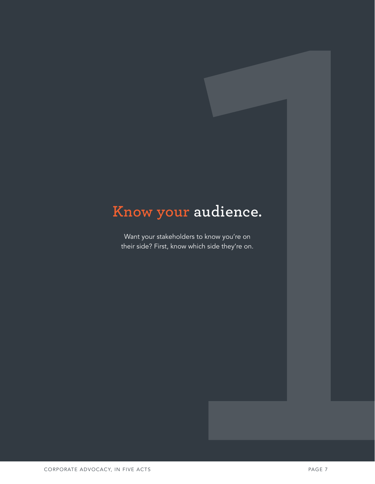### **Know your audience.**

Want your stakeholders to know you're on their side? First, know which side they're on.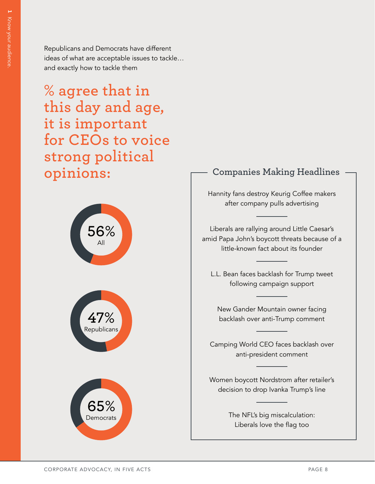**1**

Republicans and Democrats have different ideas of what are acceptable issues to tackle… and exactly how to tackle them

**% agree that in this day and age, it is important for CEOs to voice strong political opinions:**



#### **Companies Making Headlines**

Hannity fans destroy Keurig Coffee makers after company pulls advertising

Liberals are rallying around Little Caesar's amid Papa John's boycott threats because of a little-known fact about its founder

L.L. Bean faces backlash for Trump tweet following campaign support

New Gander Mountain owner facing backlash over anti-Trump comment

Camping World CEO faces backlash over anti-president comment

Women boycott Nordstrom after retailer's decision to drop Ivanka Trump's line

> The NFL's big miscalculation: Liberals love the flag too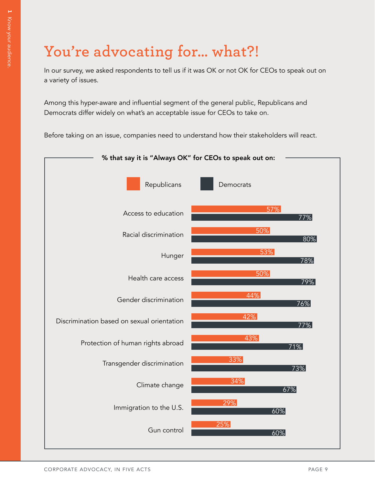## **You're advocating for… what?!**

In our survey, we asked respondents to tell us if it was OK or not OK for CEOs to speak out on a variety of issues.

Among this hyper-aware and influential segment of the general public, Republicans and Democrats differ widely on what's an acceptable issue for CEOs to take on.

Before taking on an issue, companies need to understand how their stakeholders will react.

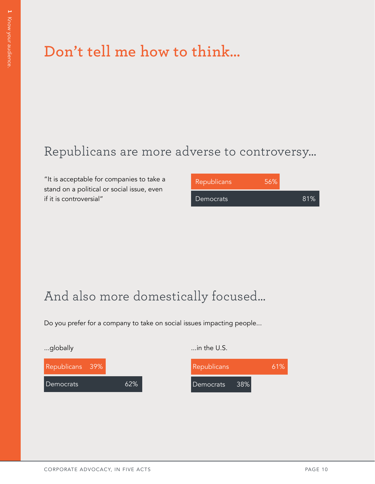## **Don't tell me how to think…**

#### Republicans are more adverse to controversy…

"It is acceptable for companies to take a stand on a political or social issue, even if it is controversial"

| <b>Republicans</b> | 56% |     |
|--------------------|-----|-----|
| Democrats          |     | 81% |

#### And also more domestically focused…

Do you prefer for a company to take on social issues impacting people...

| Republicans 39% |     |
|-----------------|-----|
| l Democrats     | ሐን% |

...globally ...in the U.S.

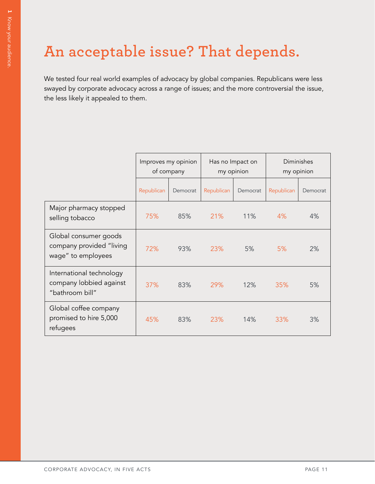## **An acceptable issue? That depends.**

We tested four real world examples of advocacy by global companies. Republicans were less swayed by corporate advocacy across a range of issues; and the more controversial the issue, the less likely it appealed to them.

|                                                                         | Improves my opinion<br>of company |     | Has no Impact on<br>my opinion |          | Diminishes<br>my opinion |          |
|-------------------------------------------------------------------------|-----------------------------------|-----|--------------------------------|----------|--------------------------|----------|
|                                                                         | Republican<br>Democrat            |     | Republican                     | Democrat | Republican               | Democrat |
| Major pharmacy stopped<br>selling tobacco                               | 75%                               | 85% | 21%                            | 11%      | 4%                       | 4%       |
| Global consumer goods<br>company provided "living<br>wage" to employees | 72%                               | 93% | 23%                            | 5%       | 5%                       | 2%       |
| International technology<br>company lobbied against<br>"bathroom bill"  | 37%                               | 83% | 29%                            | 12%      | 35%                      | 5%       |
| Global coffee company<br>promised to hire 5,000<br>refugees             | 45%                               | 83% | 23%                            | 14%      | 33%                      | 3%       |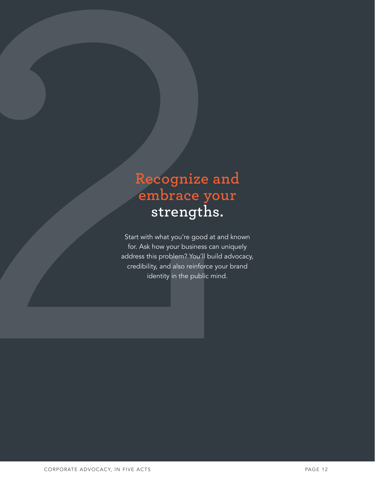#### **Recognize and embrace your strengths.**

Start with what you're good at and known for. Ask how your business can uniquely address this problem? You'll build advocacy, credibility, and also reinforce your brand identity in the public mind.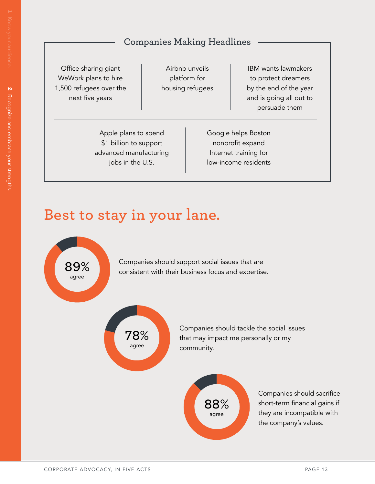#### **Companies Making Headlines**

Office sharing giant WeWork plans to hire 1,500 refugees over the next five years

Airbnb unveils platform for housing refugees

IBM wants lawmakers to protect dreamers by the end of the year and is going all out to persuade them

Apple plans to spend \$1 billion to support advanced manufacturing jobs in the U.S.

Google helps Boston nonprofit expand Internet training for low-income residents

#### **Best to stay in your lane.**



Companies should support social issues that are consistent with their business focus and expertise.



Companies should tackle the social issues that may impact me personally or my community.



Companies should sacrifice short-term financial gains if they are incompatible with the company's values.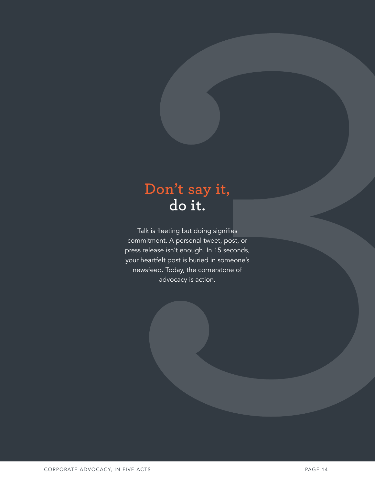#### **Don't say it, do it.**

Talk is fleeting but doing signifies commitment. A personal tweet, post, or press release isn't enough. In 15 seconds, your heartfelt post is buried in someone's newsfeed. Today, the cornerstone of advocacy is action.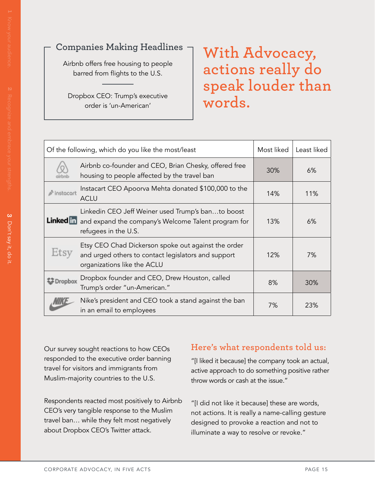#### **Companies Making Headlines**

Airbnb offers free housing to people barred from flights to the U.S.

Dropbox CEO: Trump's executive order is 'un-American'

#### **With Advocacy, actions really do speak louder than words.**

|                       | Of the following, which do you like the most/least                                                                                        | Most liked | Least liked |
|-----------------------|-------------------------------------------------------------------------------------------------------------------------------------------|------------|-------------|
|                       | Airbnb co-founder and CEO, Brian Chesky, offered free<br>housing to people affected by the travel ban                                     | 30%        | 6%          |
| $\triangle$ instacart | Instacart CEO Apoorva Mehta donated \$100,000 to the<br><b>ACLU</b>                                                                       | 14%        | 11%         |
| Linked in             | Linkedin CEO Jeff Weiner used Trump's banto boost<br>and expand the company's Welcome Talent program for<br>refugees in the U.S.          | 13%        | 6%          |
| Etsy                  | Etsy CEO Chad Dickerson spoke out against the order<br>and urged others to contact legislators and support<br>organizations like the ACLU | 12%        | 7%          |
| ∰ Dropbox             | Dropbox founder and CEO, Drew Houston, called<br>Trump's order "un-American."                                                             | 8%         | 30%         |
|                       | Nike's president and CEO took a stand against the ban<br>in an email to employees                                                         | 7%         | 23%         |

Our survey sought reactions to how CEOs responded to the executive order banning travel for visitors and immigrants from Muslim-majority countries to the U.S.

Respondents reacted most positively to Airbnb CEO's very tangible response to the Muslim travel ban… while they felt most negatively about Dropbox CEO's Twitter attack.

#### **Here's what respondents told us:**

"[I liked it because] the company took an actual, active approach to do something positive rather throw words or cash at the issue."

"[I did not like it because] these are words, not actions. It is really a name-calling gesture designed to provoke a reaction and not to illuminate a way to resolve or revoke."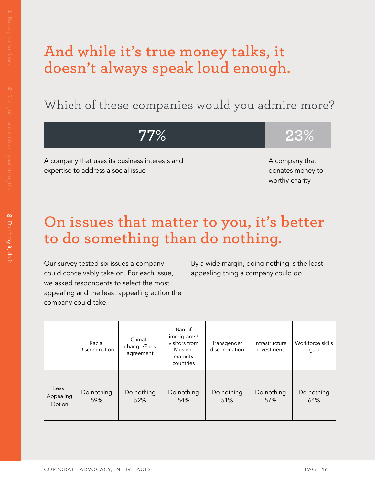#### **And while it's true money talks, it doesn't always speak loud enough.**

Which of these companies would you admire more?

**77% 23%**

A company that uses its business interests and expertise to address a social issue

A company that donates money to worthy charity

#### **On issues that matter to you, it's better to do something than do nothing.**

Our survey tested six issues a company could conceivably take on. For each issue, we asked respondents to select the most appealing and the least appealing action the company could take.

By a wide margin, doing nothing is the least appealing thing a company could do.

|                              | Racial<br>Discrimination | Climate<br>change/Paris<br>agreement | Ban of<br>immigrants/<br>visitors from<br>Muslim-<br>majority<br>countries | Transgender<br>discrimination | Infrastructure<br>investment | Workforce skills<br>gap |
|------------------------------|--------------------------|--------------------------------------|----------------------------------------------------------------------------|-------------------------------|------------------------------|-------------------------|
| Least<br>Appealing<br>Option | Do nothing<br>59%        | Do nothing<br>52%                    | Do nothing<br>54%                                                          | Do nothing<br>51%             | Do nothing<br>57%            | Do nothing<br>64%       |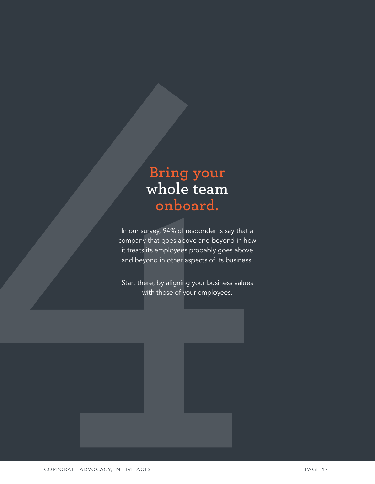#### **Bring your whole team onboard.**

In our survey, 94% of respondents say that a company that goes above and beyond in how it treats its employees probably goes above and beyond in other aspects of its business.

Start there, by aligning your business values with those of your employees.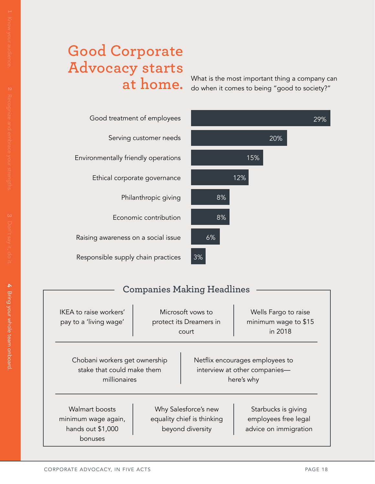#### **Good Corporate Advocacy starts at home.**

What is the most important thing a company can do when it comes to being "good to society?"

| Good treatment of employees         |
|-------------------------------------|
| Serving customer needs              |
| Environmentally friendly operations |
| Ethical corporate governance        |
| Philanthropic giving                |
| Economic contribution               |
| Raising awareness on a social issue |
| Responsible supply chain practices  |



#### **Companies Making Headlines**

| IKEA to raise workers'<br>pay to a 'living wage'                            | Microsoft yows to<br>protect its Dreamers in<br>court |                                                                        | Wells Fargo to raise<br>minimum wage to \$15<br>in 2018                        |
|-----------------------------------------------------------------------------|-------------------------------------------------------|------------------------------------------------------------------------|--------------------------------------------------------------------------------|
| Chobani workers get ownership<br>stake that could make them<br>millionaires |                                                       |                                                                        | Netflix encourages employees to<br>interview at other companies-<br>here's why |
| Walmart boosts<br>minimum wage again,<br>hands out \$1,000<br>bonuses       |                                                       | Why Salesforce's new<br>equality chief is thinking<br>beyond diversity | Starbucks is giving<br>employees free legal<br>advice on immigration           |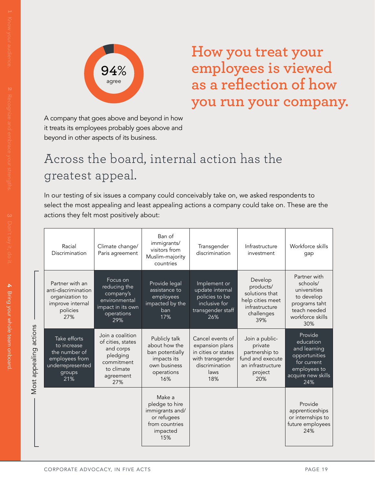

**How you treat your employees is viewed as a reflection of how you run your company.**

A company that goes above and beyond in how it treats its employees probably goes above and beyond in other aspects of its business.

#### Across the board, internal action has the greatest appeal.

In our testing of six issues a company could conceivably take on, we asked respondents to select the most appealing and least appealing actions a company could take on. These are the actions they felt most positively about:

|                           | Racial<br>Discrimination                                                                            | Climate change/<br>Paris agreement                                                                             | Ban of<br>immigrants/<br>visitors from<br>Muslim-majority<br>countries                                | Transgender<br>discrimination                                                                                   | Infrastructure<br>investment                                                                           | Workforce skills<br>gap                                                                                            |
|---------------------------|-----------------------------------------------------------------------------------------------------|----------------------------------------------------------------------------------------------------------------|-------------------------------------------------------------------------------------------------------|-----------------------------------------------------------------------------------------------------------------|--------------------------------------------------------------------------------------------------------|--------------------------------------------------------------------------------------------------------------------|
|                           | Partner with an<br>anti-discrimination<br>organization to<br>improve internal<br>policies<br>27%    | Focus on<br>reducing the<br>company's<br>environmental<br>impact in its own<br>operations<br>29%               | Provide legal<br>assistance to<br>employees<br>impacted by the<br>ban<br>17%                          | Implement or<br>update internal<br>policies to be<br>inclusive for<br>transgender staff<br>26%                  | Develop<br>products/<br>solutions that<br>help cities meet<br>infrastructure<br>challenges<br>39%      | Partner with<br>schools/<br>universities<br>to develop<br>programs taht<br>teach needed<br>workforce skills<br>30% |
| actions<br>Most appealing | Take efforts<br>to increase<br>the number of<br>employees from<br>underrepresented<br>groups<br>21% | Join a coalition<br>of cities, states<br>and corps<br>pledging<br>commitment<br>to climate<br>agreement<br>27% | Publicly talk<br>about how the<br>ban potentially<br>impacts its<br>own business<br>operations<br>16% | Cancel events of<br>expansion plans<br>in cities or states<br>with transgender<br>discrimination<br>laws<br>18% | Join a public-<br>private<br>partnership to<br>fund and execute<br>an infrastructure<br>project<br>20% | Provide<br>education<br>and learning<br>opportunities<br>for current<br>employees to<br>acquire new skills<br>24%  |
|                           |                                                                                                     |                                                                                                                | Make a<br>pledge to hire<br>immigrants and/<br>or refugees<br>from countries<br>impacted<br>15%       |                                                                                                                 |                                                                                                        | Provide<br>apprenticeships<br>or internships to<br>future employees<br>24%                                         |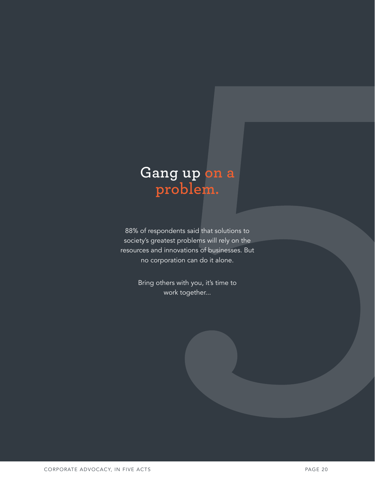#### **Gang up on a problem.**

88% of respondents said that solutions to society's greatest problems will rely on the resources and innovations of businesses. But no corporation can do it alone.

> Bring others with you, it's time to work together...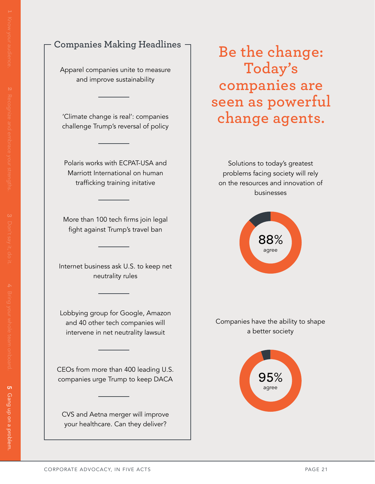#### **Companies Making Headlines**

Apparel companies unite to measure and improve sustainability

'Climate change is real': companies challenge Trump's reversal of policy

Polaris works with ECPAT-USA and Marriott International on human trafficking training initative

More than 100 tech firms join legal fight against Trump's travel ban

Internet business ask U.S. to keep net neutrality rules

Lobbying group for Google, Amazon and 40 other tech companies will intervene in net neutrality lawsuit

CEOs from more than 400 leading U.S. companies urge Trump to keep DACA

CVS and Aetna merger will improve your healthcare. Can they deliver?

**Be the change: Today's companies are seen as powerful change agents.**

Solutions to today's greatest problems facing society will rely on the resources and innovation of businesses



Companies have the ability to shape a better society

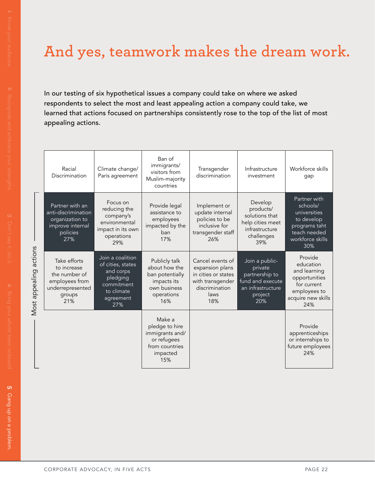## **And yes, teamwork makes the dream work.**

In our testing of six hypothetical issues a company could take on where we asked respondents to select the most and least appealing action a company could take, we learned that actions focused on partnerships consistently rose to the top of the list of most appealing actions.

| Racial<br>Discrimination                                                                            | Climate change/<br>Paris agreement                                                                             | Ban of<br>immigrants/<br>visitors from<br>Muslim-majority<br>countries                                | Transgender<br>discrimination                                                                                   | Infrastructure<br>investment                                                                           | Workforce skills<br>gap                                                                                            |
|-----------------------------------------------------------------------------------------------------|----------------------------------------------------------------------------------------------------------------|-------------------------------------------------------------------------------------------------------|-----------------------------------------------------------------------------------------------------------------|--------------------------------------------------------------------------------------------------------|--------------------------------------------------------------------------------------------------------------------|
| Partner with an<br>anti-discrimination<br>organization to<br>improve internal<br>policies<br>27%    | Focus on<br>reducing the<br>company's<br>environmental<br>impact in its own<br>operations<br>29%               | Provide legal<br>assistance to<br>employees<br>impacted by the<br>ban<br>17%                          | Implement or<br>update internal<br>policies to be<br>inclusive for<br>transgender staff<br>26%                  | Develop<br>products/<br>solutions that<br>help cities meet<br>infrastructure<br>challenges<br>39%      | Partner with<br>schools/<br>universities<br>to develop<br>programs taht<br>teach needed<br>workforce skills<br>30% |
| Take efforts<br>to increase<br>the number of<br>employees from<br>underrepresented<br>groups<br>21% | Join a coalition<br>of cities, states<br>and corps<br>pledging<br>commitment<br>to climate<br>agreement<br>27% | Publicly talk<br>about how the<br>ban potentially<br>impacts its<br>own business<br>operations<br>16% | Cancel events of<br>expansion plans<br>in cities or states<br>with transgender<br>discrimination<br>laws<br>18% | Join a public-<br>private<br>partnership to<br>fund and execute<br>an infrastructure<br>project<br>20% | Provide<br>education<br>and learning<br>opportunities<br>for current<br>employees to<br>acquire new skills<br>24%  |
|                                                                                                     |                                                                                                                | Make a<br>pledge to hire<br>immigrants and/<br>or refugees<br>from countries<br>impacted<br>15%       |                                                                                                                 |                                                                                                        | Provide<br>apprenticeships<br>or internships to<br>future employees<br>24%                                         |

Most appealing actions Most appealing actions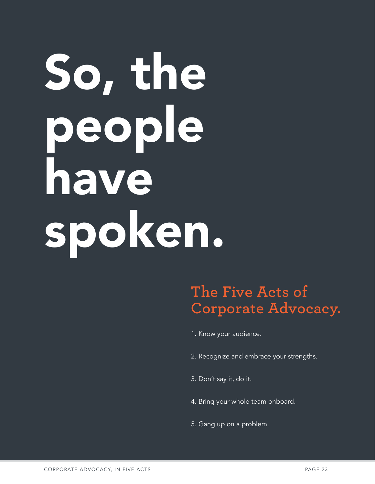# So, the people have spoken.

#### **The Five Acts of Corporate Advocacy.**

1. Know your audience.

- 2. Recognize and embrace your strengths.
- 3. Don't say it, do it.
- 4. Bring your whole team onboard.
- 5. Gang up on a problem.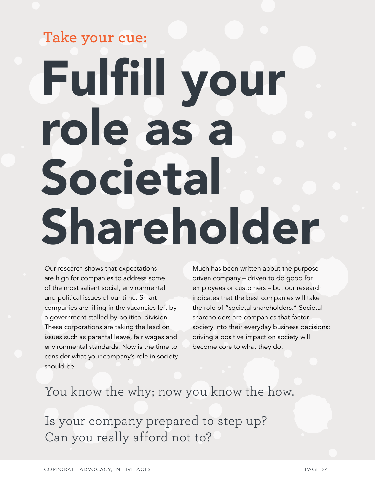## Fulfill your role as a Societal Shareholder **Take your cue:**

Our research shows that expectations are high for companies to address some of the most salient social, environmental and political issues of our time. Smart companies are filling in the vacancies left by a government stalled by political division. These corporations are taking the lead on issues such as parental leave, fair wages and environmental standards. Now is the time to consider what your company's role in society should be.

Much has been written about the purposedriven company – driven to do good for employees or customers – but our research indicates that the best companies will take the role of "societal shareholders." Societal shareholders are companies that factor society into their everyday business decisions: driving a positive impact on society will become core to what they do.

#### You know the why; now you know the how.

Is your company prepared to step up? Can you really afford not to?